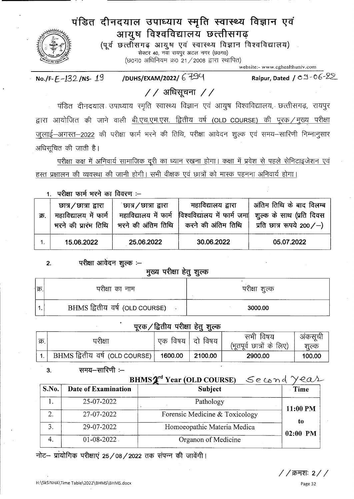# पंडित दीनदयाल उपाध्याय स्मृति स्वास्थ्य विज्ञान एवं आयुष विश्वविद्यालय छत्तीसगढ़

(पूर्व छत्तीसगढ़ आयुष एवं स्वास्थ्य विज्ञान विश्वविद्यालय) सेक्टर 40, नवा रायपुर अटल नगर (छ0ग0) (छ०ग० अधिनियम क्र० २१ / २००८ द्वारा स्थापित)

website:- www.cghealthuniv.com

/DUHS/EXAM/2022/ 6794 No./F- $E$ -132/NS-19

Raipur, Dated / 09-06-22

# $//$  अधिसूचना  $//$

पंडित दीनदयाल उपाध्याय स्मृति स्वास्थ्य विज्ञान एवं आयुष विश्वविद्यालय, छत्तीसगढ़, रायपुर द्वारा आयोजित की जाने वाली बी.एच.एम.एस. द्वितीय वर्ष (OLD COURSE) की पूरक / मुख्य परीक्षा जुलाई-अगस्त-2022 की परीक्षा फार्म भरने की तिथि, परीक्षा आवेदन शुल्क एवं समय-सारिणी निम्नानुसार अधिसूचित की जाती है।

परीक्षा कक्ष में अनिवार्य सामाजिक दूरी का ध्यान रखना होगा। कक्षा में प्रवेश से पहले सेनिटाइजेशन एवं हस्त प्रक्षालन की व्यवस्था की जानी होगी। सभी वीक्षक एवं छात्रों को मास्क पहनना अनिवार्य होगा।

1. परीक्षा फार्म भरने का विवरण :-

| क्र. | চ্যাत्र $\angle$ छात्रा द्वारा<br>महाविद्यालय में फार्म<br>भरने की प्रारंभ तिथि | `छात्र ∕ छात्रा द्वारा<br>महाविद्यालय में फार्म | महाविद्यालय द्वारा<br>विश्वविद्यालय में फार्म जमा | <sup>!</sup> अंतिम तिथि के बाद विलम्ब<br>शूल्क के साथ (प्रति दिवस<br>भरने की अंतिम तिथि   करने की अंतिम तिथि   प्रति छात्र रूपये 200/-) |
|------|---------------------------------------------------------------------------------|-------------------------------------------------|---------------------------------------------------|-----------------------------------------------------------------------------------------------------------------------------------------|
|      | 15.06.2022                                                                      | 25.06.2022                                      | 30.06.2022                                        | 05.07.2022                                                                                                                              |

परीक्षा आवेदन शुल्क :-- $2.$ 

### मुख्य परीक्षा हेतू शूल्क

| क्र | परीक्षा का नाम                 | परीक्षा शुल्क |  |
|-----|--------------------------------|---------------|--|
|     | BHMS द्वितीय वर्ष (OLD COURSE) | 3000.00       |  |

## पूरक / द्वितीय परीक्षा हेतू शुल्क

| ! क्र. | ग्रीक्षा                                 | एकः | विषय   दो विषय | सभी विषय<br>(भूतपूर्व छात्रों के लिए) | अकसूची<br>शल्क |
|--------|------------------------------------------|-----|----------------|---------------------------------------|----------------|
|        | BHMS द्वितीय वर्ष (OLD COURSE)   1600.00 |     | 2100.00        | 2900.00                               | 100.00         |

#### समय—सारिणी :—  $3.$

S.No.

1.

| BHMS <sup>2</sup> Year (OLD COURSE)<br>Second<br>yeas |                                |          |  |  |
|-------------------------------------------------------|--------------------------------|----------|--|--|
| Date of Examination                                   | <b>Subject</b>                 | Time     |  |  |
| 25-07-2022                                            | Pathology                      | 11:00 PM |  |  |
| 27-07-2022                                            | Forensic Medicine & Toxicology |          |  |  |

| 27-07-2022       | Forensic Medicine $\alpha$ Toxicology |                  |
|------------------|---------------------------------------|------------------|
| 29-07-2022       | Homoeopathic Materia Medica           | tα<br>$02:00$ PM |
| $01 - 08 - 2022$ | Organon of Medicine                   |                  |

नोट— प्रायोगिक परीक्षाएं 25/08/2022 तक संपन्न की जावेंगी।

*/ /* क्रमशः 2*/ /*